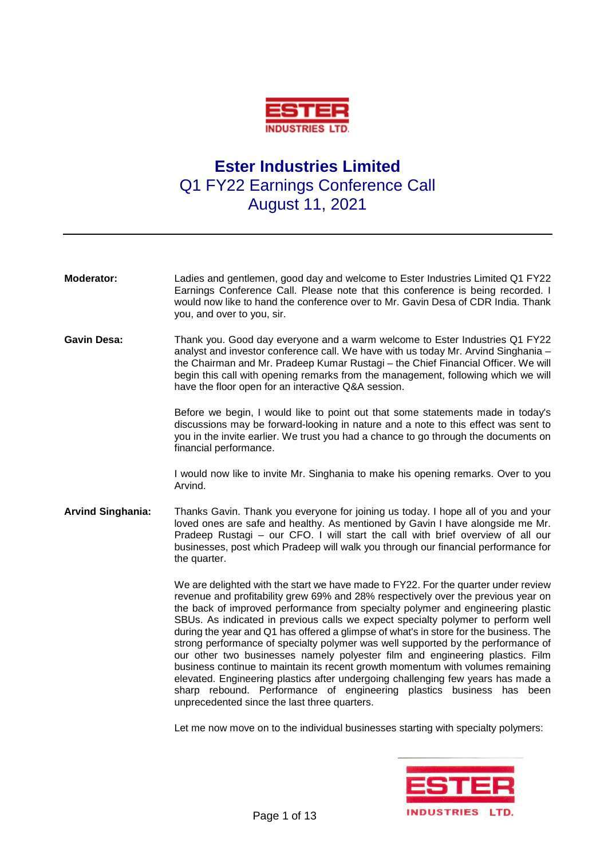

## **Ester Industries Limited** Q1 FY22 Earnings Conference Call August 11, 2021

| <b>Moderator:</b>        | Ladies and gentlemen, good day and welcome to Ester Industries Limited Q1 FY22<br>Earnings Conference Call. Please note that this conference is being recorded. I<br>would now like to hand the conference over to Mr. Gavin Desa of CDR India. Thank<br>you, and over to you, sir.                                                                                                                                                                                                                                                                                                                                                                                                                                                                                                                                                                                                                            |
|--------------------------|----------------------------------------------------------------------------------------------------------------------------------------------------------------------------------------------------------------------------------------------------------------------------------------------------------------------------------------------------------------------------------------------------------------------------------------------------------------------------------------------------------------------------------------------------------------------------------------------------------------------------------------------------------------------------------------------------------------------------------------------------------------------------------------------------------------------------------------------------------------------------------------------------------------|
| <b>Gavin Desa:</b>       | Thank you. Good day everyone and a warm welcome to Ester Industries Q1 FY22<br>analyst and investor conference call. We have with us today Mr. Arvind Singhania -<br>the Chairman and Mr. Pradeep Kumar Rustagi - the Chief Financial Officer. We will<br>begin this call with opening remarks from the management, following which we will<br>have the floor open for an interactive Q&A session.                                                                                                                                                                                                                                                                                                                                                                                                                                                                                                             |
|                          | Before we begin, I would like to point out that some statements made in today's<br>discussions may be forward-looking in nature and a note to this effect was sent to<br>you in the invite earlier. We trust you had a chance to go through the documents on<br>financial performance.                                                                                                                                                                                                                                                                                                                                                                                                                                                                                                                                                                                                                         |
|                          | I would now like to invite Mr. Singhania to make his opening remarks. Over to you<br>Arvind.                                                                                                                                                                                                                                                                                                                                                                                                                                                                                                                                                                                                                                                                                                                                                                                                                   |
| <b>Arvind Singhania:</b> | Thanks Gavin. Thank you everyone for joining us today. I hope all of you and your<br>loved ones are safe and healthy. As mentioned by Gavin I have alongside me Mr.<br>Pradeep Rustagi – our CFO. I will start the call with brief overview of all our<br>businesses, post which Pradeep will walk you through our financial performance for<br>the quarter.                                                                                                                                                                                                                                                                                                                                                                                                                                                                                                                                                   |
|                          | We are delighted with the start we have made to FY22. For the quarter under review<br>revenue and profitability grew 69% and 28% respectively over the previous year on<br>the back of improved performance from specialty polymer and engineering plastic<br>SBUs. As indicated in previous calls we expect specialty polymer to perform well<br>during the year and Q1 has offered a glimpse of what's in store for the business. The<br>strong performance of specialty polymer was well supported by the performance of<br>our other two businesses namely polyester film and engineering plastics. Film<br>business continue to maintain its recent growth momentum with volumes remaining<br>elevated. Engineering plastics after undergoing challenging few years has made a<br>sharp rebound. Performance of engineering plastics business has<br>been<br>unprecedented since the last three quarters. |

Let me now move on to the individual businesses starting with specialty polymers:

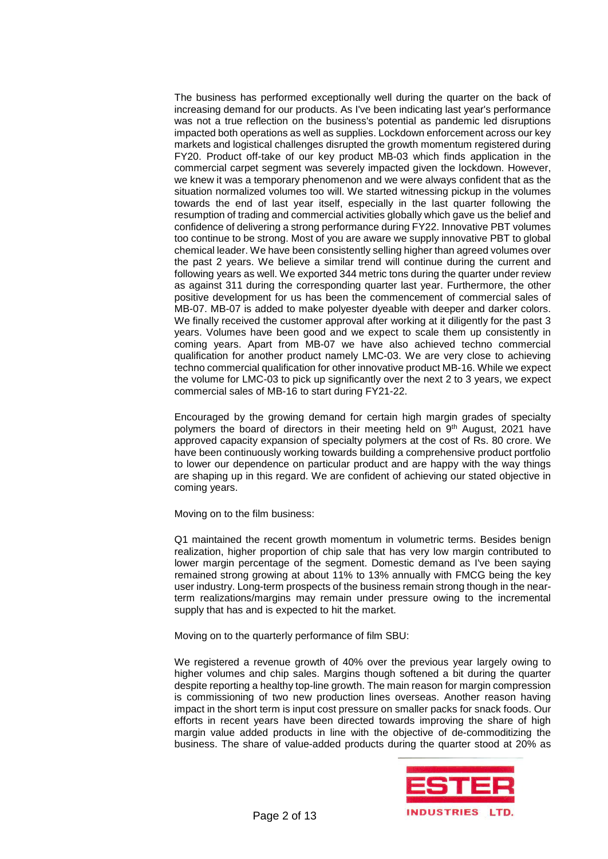The business has performed exceptionally well during the quarter on the back of increasing demand for our products. As I've been indicating last year's performance was not a true reflection on the business's potential as pandemic led disruptions impacted both operations as well as supplies. Lockdown enforcement across our key markets and logistical challenges disrupted the growth momentum registered during FY20. Product off-take of our key product MB-03 which finds application in the commercial carpet segment was severely impacted given the lockdown. However, we knew it was a temporary phenomenon and we were always confident that as the situation normalized volumes too will. We started witnessing pickup in the volumes towards the end of last year itself, especially in the last quarter following the resumption of trading and commercial activities globally which gave us the belief and confidence of delivering a strong performance during FY22. Innovative PBT volumes too continue to be strong. Most of you are aware we supply innovative PBT to global chemical leader. We have been consistently selling higher than agreed volumes over the past 2 years. We believe a similar trend will continue during the current and following years as well. We exported 344 metric tons during the quarter under review as against 311 during the corresponding quarter last year. Furthermore, the other positive development for us has been the commencement of commercial sales of MB-07. MB-07 is added to make polyester dyeable with deeper and darker colors. We finally received the customer approval after working at it diligently for the past 3 years. Volumes have been good and we expect to scale them up consistently in coming years. Apart from MB-07 we have also achieved techno commercial qualification for another product namely LMC-03. We are very close to achieving techno commercial qualification for other innovative product MB-16. While we expect the volume for LMC-03 to pick up significantly over the next 2 to 3 years, we expect commercial sales of MB-16 to start during FY21-22.

Encouraged by the growing demand for certain high margin grades of specialty polymers the board of directors in their meeting held on 9<sup>th</sup> August, 2021 have approved capacity expansion of specialty polymers at the cost of Rs. 80 crore. We have been continuously working towards building a comprehensive product portfolio to lower our dependence on particular product and are happy with the way things are shaping up in this regard. We are confident of achieving our stated objective in coming years.

Moving on to the film business:

Q1 maintained the recent growth momentum in volumetric terms. Besides benign realization, higher proportion of chip sale that has very low margin contributed to lower margin percentage of the segment. Domestic demand as I've been saying remained strong growing at about 11% to 13% annually with FMCG being the key user industry. Long-term prospects of the business remain strong though in the nearterm realizations/margins may remain under pressure owing to the incremental supply that has and is expected to hit the market.

Moving on to the quarterly performance of film SBU:

We registered a revenue growth of 40% over the previous year largely owing to higher volumes and chip sales. Margins though softened a bit during the quarter despite reporting a healthy top-line growth. The main reason for margin compression is commissioning of two new production lines overseas. Another reason having impact in the short term is input cost pressure on smaller packs for snack foods. Our efforts in recent years have been directed towards improving the share of high margin value added products in line with the objective of de-commoditizing the business. The share of value-added products during the quarter stood at 20% as

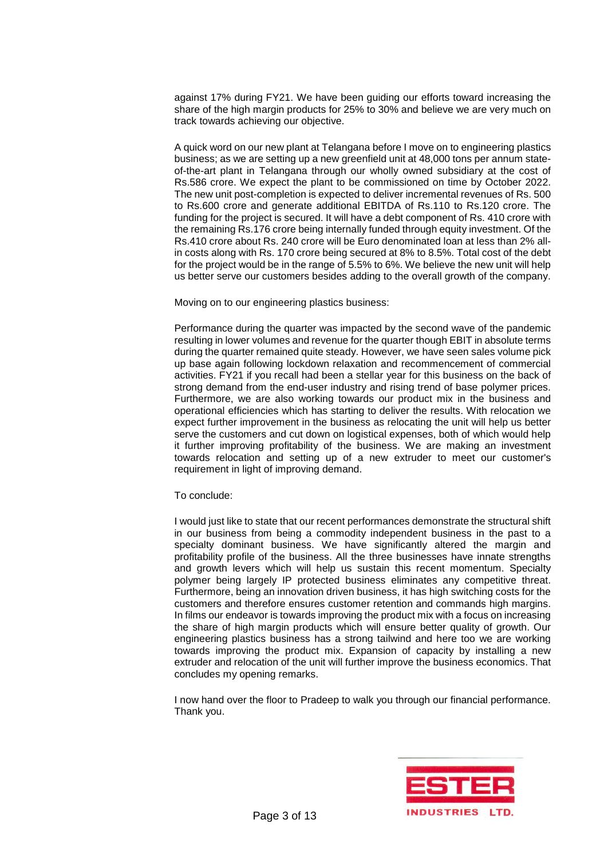against 17% during FY21. We have been guiding our efforts toward increasing the share of the high margin products for 25% to 30% and believe we are very much on track towards achieving our objective.

A quick word on our new plant at Telangana before I move on to engineering plastics business; as we are setting up a new greenfield unit at 48,000 tons per annum stateof-the-art plant in Telangana through our wholly owned subsidiary at the cost of Rs.586 crore. We expect the plant to be commissioned on time by October 2022. The new unit post-completion is expected to deliver incremental revenues of Rs. 500 to Rs.600 crore and generate additional EBITDA of Rs.110 to Rs.120 crore. The funding for the project is secured. It will have a debt component of Rs. 410 crore with the remaining Rs.176 crore being internally funded through equity investment. Of the Rs.410 crore about Rs. 240 crore will be Euro denominated loan at less than 2% allin costs along with Rs. 170 crore being secured at 8% to 8.5%. Total cost of the debt for the project would be in the range of 5.5% to 6%. We believe the new unit will help us better serve our customers besides adding to the overall growth of the company.

Moving on to our engineering plastics business:

Performance during the quarter was impacted by the second wave of the pandemic resulting in lower volumes and revenue for the quarter though EBIT in absolute terms during the quarter remained quite steady. However, we have seen sales volume pick up base again following lockdown relaxation and recommencement of commercial activities. FY21 if you recall had been a stellar year for this business on the back of strong demand from the end-user industry and rising trend of base polymer prices. Furthermore, we are also working towards our product mix in the business and operational efficiencies which has starting to deliver the results. With relocation we expect further improvement in the business as relocating the unit will help us better serve the customers and cut down on logistical expenses, both of which would help it further improving profitability of the business. We are making an investment towards relocation and setting up of a new extruder to meet our customer's requirement in light of improving demand.

## To conclude:

I would just like to state that our recent performances demonstrate the structural shift in our business from being a commodity independent business in the past to a specialty dominant business. We have significantly altered the margin and profitability profile of the business. All the three businesses have innate strengths and growth levers which will help us sustain this recent momentum. Specialty polymer being largely IP protected business eliminates any competitive threat. Furthermore, being an innovation driven business, it has high switching costs for the customers and therefore ensures customer retention and commands high margins. In films our endeavor is towards improving the product mix with a focus on increasing the share of high margin products which will ensure better quality of growth. Our engineering plastics business has a strong tailwind and here too we are working towards improving the product mix. Expansion of capacity by installing a new extruder and relocation of the unit will further improve the business economics. That concludes my opening remarks.

I now hand over the floor to Pradeep to walk you through our financial performance. Thank you.

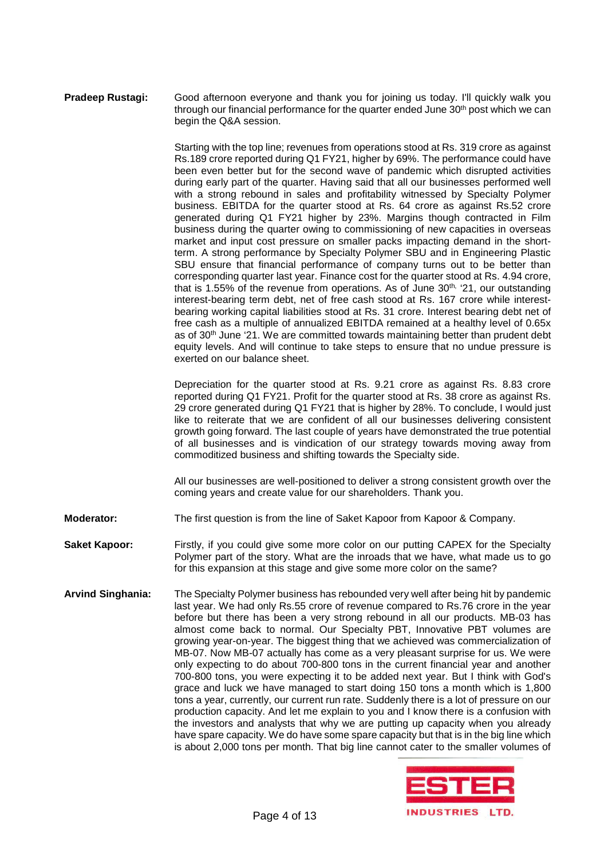## **Pradeep Rustagi:** Good afternoon everyone and thank you for joining us today. I'll quickly walk you through our financial performance for the quarter ended June  $30<sup>th</sup>$  post which we can begin the Q&A session.

Starting with the top line; revenues from operations stood at Rs. 319 crore as against Rs.189 crore reported during Q1 FY21, higher by 69%. The performance could have been even better but for the second wave of pandemic which disrupted activities during early part of the quarter. Having said that all our businesses performed well with a strong rebound in sales and profitability witnessed by Specialty Polymer business. EBITDA for the quarter stood at Rs. 64 crore as against Rs.52 crore generated during Q1 FY21 higher by 23%. Margins though contracted in Film business during the quarter owing to commissioning of new capacities in overseas market and input cost pressure on smaller packs impacting demand in the shortterm. A strong performance by Specialty Polymer SBU and in Engineering Plastic SBU ensure that financial performance of company turns out to be better than corresponding quarter last year. Finance cost for the quarter stood at Rs. 4.94 crore, that is 1.55% of the revenue from operations. As of June 30<sup>th, '</sup>21, our outstanding interest-bearing term debt, net of free cash stood at Rs. 167 crore while interestbearing working capital liabilities stood at Rs. 31 crore. Interest bearing debt net of free cash as a multiple of annualized EBITDA remained at a healthy level of 0.65x as of 30<sup>th</sup> June '21. We are committed towards maintaining better than prudent debt equity levels. And will continue to take steps to ensure that no undue pressure is exerted on our balance sheet.

Depreciation for the quarter stood at Rs. 9.21 crore as against Rs. 8.83 crore reported during Q1 FY21. Profit for the quarter stood at Rs. 38 crore as against Rs. 29 crore generated during Q1 FY21 that is higher by 28%. To conclude, I would just like to reiterate that we are confident of all our businesses delivering consistent growth going forward. The last couple of years have demonstrated the true potential of all businesses and is vindication of our strategy towards moving away from commoditized business and shifting towards the Specialty side.

All our businesses are well-positioned to deliver a strong consistent growth over the coming years and create value for our shareholders. Thank you.

- **Moderator:** The first question is from the line of Saket Kapoor from Kapoor & Company.
- **Saket Kapoor:** Firstly, if you could give some more color on our putting CAPEX for the Specialty Polymer part of the story. What are the inroads that we have, what made us to go for this expansion at this stage and give some more color on the same?
- **Arvind Singhania:** The Specialty Polymer business has rebounded very well after being hit by pandemic last year. We had only Rs.55 crore of revenue compared to Rs.76 crore in the year before but there has been a very strong rebound in all our products. MB-03 has almost come back to normal. Our Specialty PBT, Innovative PBT volumes are growing year-on-year. The biggest thing that we achieved was commercialization of MB-07. Now MB-07 actually has come as a very pleasant surprise for us. We were only expecting to do about 700-800 tons in the current financial year and another 700-800 tons, you were expecting it to be added next year. But I think with God's grace and luck we have managed to start doing 150 tons a month which is 1,800 tons a year, currently, our current run rate. Suddenly there is a lot of pressure on our production capacity. And let me explain to you and I know there is a confusion with the investors and analysts that why we are putting up capacity when you already have spare capacity. We do have some spare capacity but that is in the big line which is about 2,000 tons per month. That big line cannot cater to the smaller volumes of

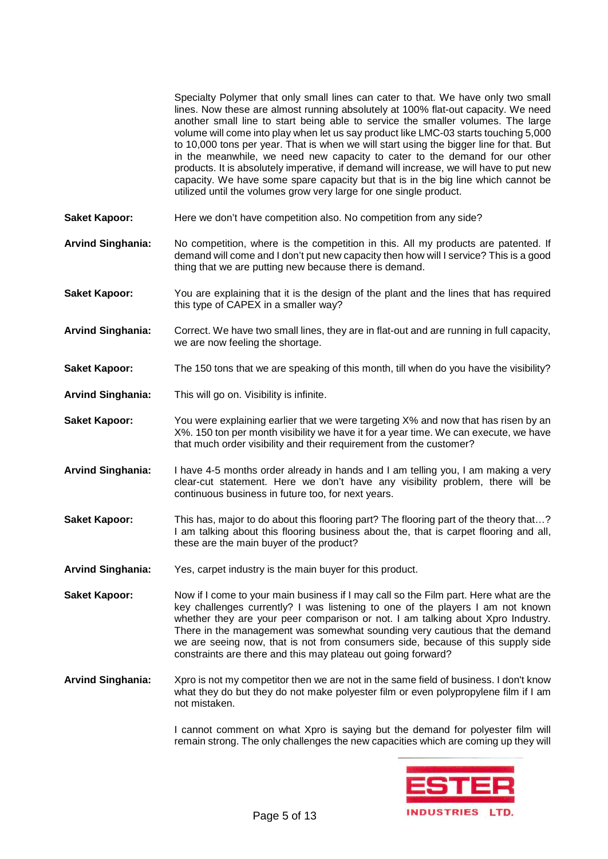Specialty Polymer that only small lines can cater to that. We have only two small lines. Now these are almost running absolutely at 100% flat-out capacity. We need another small line to start being able to service the smaller volumes. The large volume will come into play when let us say product like LMC-03 starts touching 5,000 to 10,000 tons per year. That is when we will start using the bigger line for that. But in the meanwhile, we need new capacity to cater to the demand for our other products. It is absolutely imperative, if demand will increase, we will have to put new capacity. We have some spare capacity but that is in the big line which cannot be utilized until the volumes grow very large for one single product. **Saket Kapoor:** Here we don't have competition also. No competition from any side?

- **Arvind Singhania:** No competition, where is the competition in this. All my products are patented. If demand will come and I don't put new capacity then how will I service? This is a good thing that we are putting new because there is demand.
- **Saket Kapoor:** You are explaining that it is the design of the plant and the lines that has required this type of CAPEX in a smaller way?
- **Arvind Singhania:** Correct. We have two small lines, they are in flat-out and are running in full capacity, we are now feeling the shortage.
- **Saket Kapoor:** The 150 tons that we are speaking of this month, till when do you have the visibility?
- **Arvind Singhania:** This will go on. Visibility is infinite.
- **Saket Kapoor:** You were explaining earlier that we were targeting X% and now that has risen by an X%. 150 ton per month visibility we have it for a year time. We can execute, we have that much order visibility and their requirement from the customer?
- **Arvind Singhania:** I have 4-5 months order already in hands and I am telling you, I am making a very clear-cut statement. Here we don't have any visibility problem, there will be continuous business in future too, for next years.
- **Saket Kapoor:** This has, major to do about this flooring part? The flooring part of the theory that…? I am talking about this flooring business about the, that is carpet flooring and all, these are the main buyer of the product?
- **Arvind Singhania:** Yes, carpet industry is the main buyer for this product.
- **Saket Kapoor:** Now if I come to your main business if I may call so the Film part. Here what are the key challenges currently? I was listening to one of the players I am not known whether they are your peer comparison or not. I am talking about Xpro Industry. There in the management was somewhat sounding very cautious that the demand we are seeing now, that is not from consumers side, because of this supply side constraints are there and this may plateau out going forward?
- **Arvind Singhania:** Xpro is not my competitor then we are not in the same field of business. I don't know what they do but they do not make polyester film or even polypropylene film if I am not mistaken.

I cannot comment on what Xpro is saying but the demand for polyester film will remain strong. The only challenges the new capacities which are coming up they will

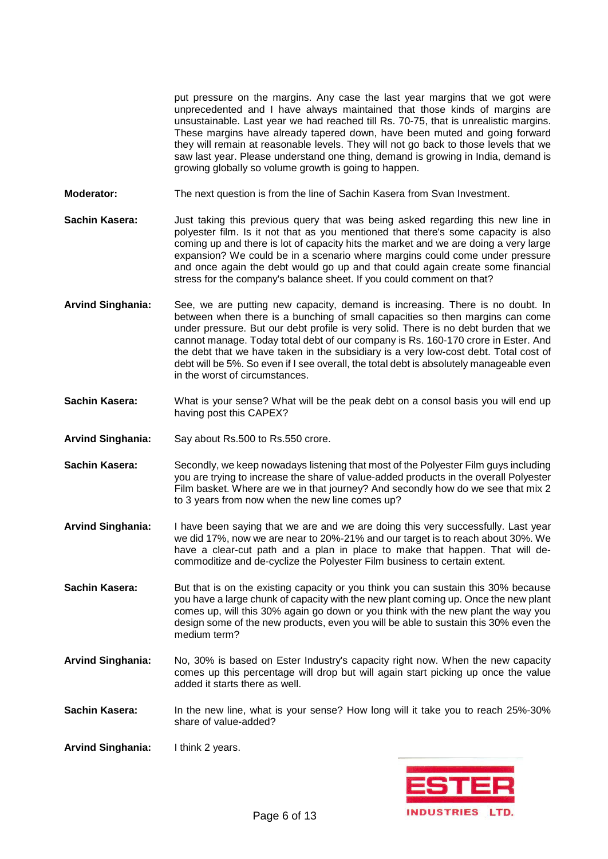put pressure on the margins. Any case the last year margins that we got were unprecedented and I have always maintained that those kinds of margins are unsustainable. Last year we had reached till Rs. 70-75, that is unrealistic margins. These margins have already tapered down, have been muted and going forward they will remain at reasonable levels. They will not go back to those levels that we saw last year. Please understand one thing, demand is growing in India, demand is growing globally so volume growth is going to happen.

**Moderator:** The next question is from the line of Sachin Kasera from Svan Investment.

**Sachin Kasera:** Just taking this previous query that was being asked regarding this new line in polyester film. Is it not that as you mentioned that there's some capacity is also coming up and there is lot of capacity hits the market and we are doing a very large expansion? We could be in a scenario where margins could come under pressure and once again the debt would go up and that could again create some financial stress for the company's balance sheet. If you could comment on that?

- **Arvind Singhania:** See, we are putting new capacity, demand is increasing. There is no doubt. In between when there is a bunching of small capacities so then margins can come under pressure. But our debt profile is very solid. There is no debt burden that we cannot manage. Today total debt of our company is Rs. 160-170 crore in Ester. And the debt that we have taken in the subsidiary is a very low-cost debt. Total cost of debt will be 5%. So even if I see overall, the total debt is absolutely manageable even in the worst of circumstances.
- **Sachin Kasera:** What is your sense? What will be the peak debt on a consol basis you will end up having post this CAPEX?
- **Arvind Singhania:** Say about Rs.500 to Rs.550 crore.
- **Sachin Kasera:** Secondly, we keep nowadays listening that most of the Polyester Film guys including you are trying to increase the share of value-added products in the overall Polyester Film basket. Where are we in that journey? And secondly how do we see that mix 2 to 3 years from now when the new line comes up?
- **Arvind Singhania:** I have been saying that we are and we are doing this very successfully. Last year we did 17%, now we are near to 20%-21% and our target is to reach about 30%. We have a clear-cut path and a plan in place to make that happen. That will decommoditize and de-cyclize the Polyester Film business to certain extent.

**Sachin Kasera:** But that is on the existing capacity or you think you can sustain this 30% because you have a large chunk of capacity with the new plant coming up. Once the new plant comes up, will this 30% again go down or you think with the new plant the way you design some of the new products, even you will be able to sustain this 30% even the medium term?

- **Arvind Singhania:** No, 30% is based on Ester Industry's capacity right now. When the new capacity comes up this percentage will drop but will again start picking up once the value added it starts there as well.
- **Sachin Kasera:** In the new line, what is your sense? How long will it take you to reach 25%-30% share of value-added?
- **Arvind Singhania:** I think 2 years.

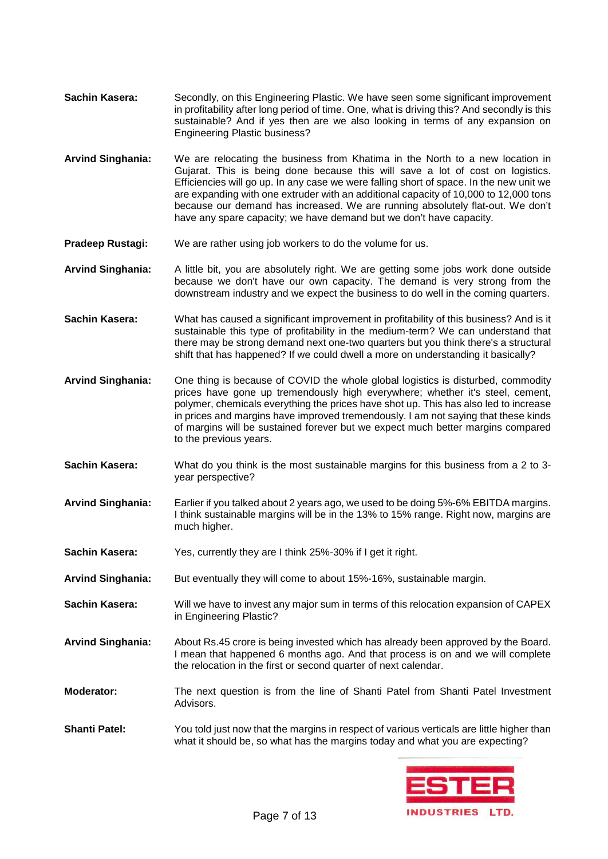- **Sachin Kasera:** Secondly, on this Engineering Plastic. We have seen some significant improvement in profitability after long period of time. One, what is driving this? And secondly is this sustainable? And if yes then are we also looking in terms of any expansion on Engineering Plastic business?
- **Arvind Singhania:** We are relocating the business from Khatima in the North to a new location in Gujarat. This is being done because this will save a lot of cost on logistics. Efficiencies will go up. In any case we were falling short of space. In the new unit we are expanding with one extruder with an additional capacity of 10,000 to 12,000 tons because our demand has increased. We are running absolutely flat-out. We don't have any spare capacity; we have demand but we don't have capacity.
- **Pradeep Rustagi:** We are rather using job workers to do the volume for us.
- **Arvind Singhania:** A little bit, you are absolutely right. We are getting some jobs work done outside because we don't have our own capacity. The demand is very strong from the downstream industry and we expect the business to do well in the coming quarters.
- **Sachin Kasera:** What has caused a significant improvement in profitability of this business? And is it sustainable this type of profitability in the medium-term? We can understand that there may be strong demand next one-two quarters but you think there's a structural shift that has happened? If we could dwell a more on understanding it basically?
- **Arvind Singhania:** One thing is because of COVID the whole global logistics is disturbed, commodity prices have gone up tremendously high everywhere; whether it's steel, cement, polymer, chemicals everything the prices have shot up. This has also led to increase in prices and margins have improved tremendously. I am not saying that these kinds of margins will be sustained forever but we expect much better margins compared to the previous years.
- **Sachin Kasera:** What do you think is the most sustainable margins for this business from a 2 to 3 year perspective?
- **Arvind Singhania:** Earlier if you talked about 2 years ago, we used to be doing 5%-6% EBITDA margins. I think sustainable margins will be in the 13% to 15% range. Right now, margins are much higher.
- **Sachin Kasera:** Yes, currently they are I think 25%-30% if I get it right.
- **Arvind Singhania:** But eventually they will come to about 15%-16%, sustainable margin.
- **Sachin Kasera:** Will we have to invest any major sum in terms of this relocation expansion of CAPEX in Engineering Plastic?
- **Arvind Singhania:** About Rs.45 crore is being invested which has already been approved by the Board. I mean that happened 6 months ago. And that process is on and we will complete the relocation in the first or second quarter of next calendar.
- **Moderator:** The next question is from the line of Shanti Patel from Shanti Patel Investment Advisors.
- **Shanti Patel:** You told just now that the margins in respect of various verticals are little higher than what it should be, so what has the margins today and what you are expecting?

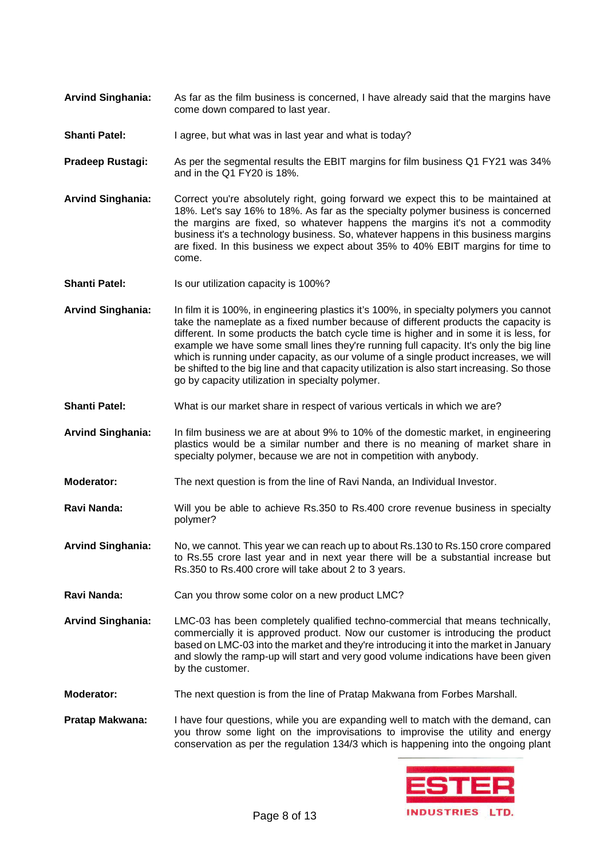- **Arvind Singhania:** As far as the film business is concerned, I have already said that the margins have come down compared to last year.
- **Shanti Patel:** I agree, but what was in last year and what is today?
- **Pradeep Rustagi:** As per the segmental results the EBIT margins for film business Q1 FY21 was 34% and in the Q1 FY20 is 18%.
- **Arvind Singhania:** Correct you're absolutely right, going forward we expect this to be maintained at 18%. Let's say 16% to 18%. As far as the specialty polymer business is concerned the margins are fixed, so whatever happens the margins it's not a commodity business it's a technology business. So, whatever happens in this business margins are fixed. In this business we expect about 35% to 40% EBIT margins for time to come.
- **Shanti Patel:** Is our utilization capacity is 100%?
- **Arvind Singhania:** In film it is 100%, in engineering plastics it's 100%, in specialty polymers you cannot take the nameplate as a fixed number because of different products the capacity is different. In some products the batch cycle time is higher and in some it is less, for example we have some small lines they're running full capacity. It's only the big line which is running under capacity, as our volume of a single product increases, we will be shifted to the big line and that capacity utilization is also start increasing. So those go by capacity utilization in specialty polymer.
- **Shanti Patel:** What is our market share in respect of various verticals in which we are?
- **Arvind Singhania:** In film business we are at about 9% to 10% of the domestic market, in engineering plastics would be a similar number and there is no meaning of market share in specialty polymer, because we are not in competition with anybody.
- **Moderator:** The next question is from the line of Ravi Nanda, an Individual Investor.
- **Ravi Nanda:** Will you be able to achieve Rs.350 to Rs.400 crore revenue business in specialty polymer?
- **Arvind Singhania:** No, we cannot. This year we can reach up to about Rs.130 to Rs.150 crore compared to Rs.55 crore last year and in next year there will be a substantial increase but Rs.350 to Rs.400 crore will take about 2 to 3 years.
- **Ravi Nanda:** Can you throw some color on a new product LMC?
- **Arvind Singhania:** LMC-03 has been completely qualified techno-commercial that means technically, commercially it is approved product. Now our customer is introducing the product based on LMC-03 into the market and they're introducing it into the market in January and slowly the ramp-up will start and very good volume indications have been given by the customer.
- **Moderator:** The next question is from the line of Pratap Makwana from Forbes Marshall.
- **Pratap Makwana:** I have four questions, while you are expanding well to match with the demand, can you throw some light on the improvisations to improvise the utility and energy conservation as per the regulation 134/3 which is happening into the ongoing plant

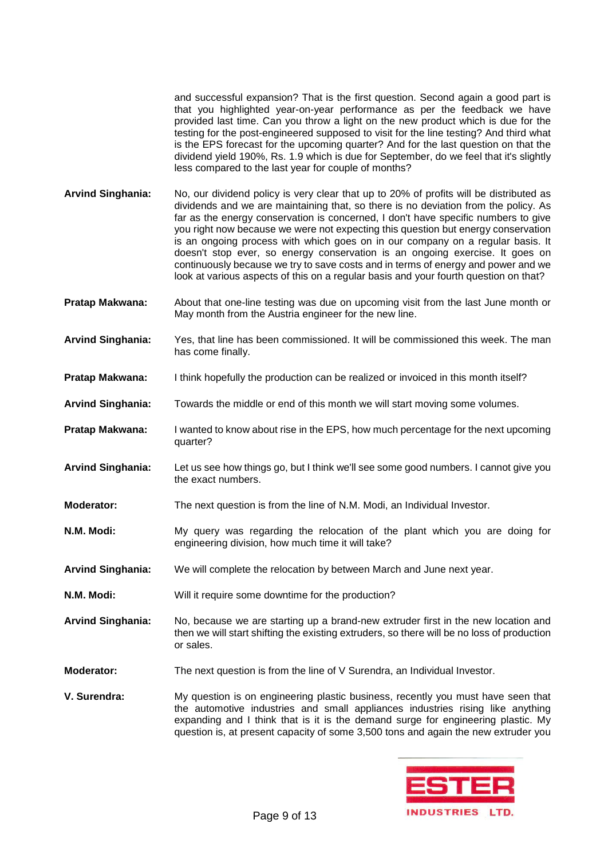and successful expansion? That is the first question. Second again a good part is that you highlighted year-on-year performance as per the feedback we have provided last time. Can you throw a light on the new product which is due for the testing for the post-engineered supposed to visit for the line testing? And third what is the EPS forecast for the upcoming quarter? And for the last question on that the dividend yield 190%, Rs. 1.9 which is due for September, do we feel that it's slightly less compared to the last year for couple of months?

- **Arvind Singhania:** No, our dividend policy is very clear that up to 20% of profits will be distributed as dividends and we are maintaining that, so there is no deviation from the policy. As far as the energy conservation is concerned, I don't have specific numbers to give you right now because we were not expecting this question but energy conservation is an ongoing process with which goes on in our company on a regular basis. It doesn't stop ever, so energy conservation is an ongoing exercise. It goes on continuously because we try to save costs and in terms of energy and power and we look at various aspects of this on a regular basis and your fourth question on that?
- **Pratap Makwana:** About that one-line testing was due on upcoming visit from the last June month or May month from the Austria engineer for the new line.
- **Arvind Singhania:** Yes, that line has been commissioned. It will be commissioned this week. The man has come finally.
- **Pratap Makwana:** I think hopefully the production can be realized or invoiced in this month itself?
- **Arvind Singhania:** Towards the middle or end of this month we will start moving some volumes.
- **Pratap Makwana:** I wanted to know about rise in the EPS, how much percentage for the next upcoming quarter?
- **Arvind Singhania:** Let us see how things go, but I think we'll see some good numbers. I cannot give you the exact numbers.
- **Moderator:** The next question is from the line of N.M. Modi, an Individual Investor.
- **N.M. Modi:** My query was regarding the relocation of the plant which you are doing for engineering division, how much time it will take?
- **Arvind Singhania:** We will complete the relocation by between March and June next year.
- **N.M. Modi:** Will it require some downtime for the production?
- **Arvind Singhania:** No, because we are starting up a brand-new extruder first in the new location and then we will start shifting the existing extruders, so there will be no loss of production or sales.
- **Moderator:** The next question is from the line of V Surendra, an Individual Investor.
- **V. Surendra:** My question is on engineering plastic business, recently you must have seen that the automotive industries and small appliances industries rising like anything expanding and I think that is it is the demand surge for engineering plastic. My question is, at present capacity of some 3,500 tons and again the new extruder you

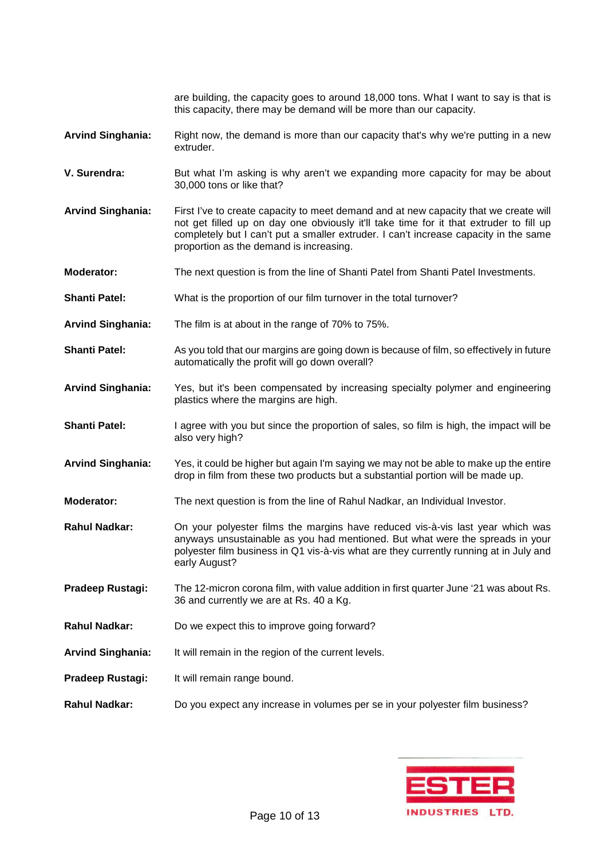are building, the capacity goes to around 18,000 tons. What I want to say is that is this capacity, there may be demand will be more than our capacity. **Arvind Singhania:** Right now, the demand is more than our capacity that's why we're putting in a new extruder. **V. Surendra:** But what I'm asking is why aren't we expanding more capacity for may be about 30,000 tons or like that? **Arvind Singhania:** First I've to create capacity to meet demand and at new capacity that we create will not get filled up on day one obviously it'll take time for it that extruder to fill up completely but I can't put a smaller extruder. I can't increase capacity in the same proportion as the demand is increasing. **Moderator:** The next question is from the line of Shanti Patel from Shanti Patel Investments. **Shanti Patel:** What is the proportion of our film turnover in the total turnover? **Arvind Singhania:** The film is at about in the range of 70% to 75%. **Shanti Patel:** As you told that our margins are going down is because of film, so effectively in future automatically the profit will go down overall? **Arvind Singhania:** Yes, but it's been compensated by increasing specialty polymer and engineering plastics where the margins are high. **Shanti Patel:** I agree with you but since the proportion of sales, so film is high, the impact will be also very high? **Arvind Singhania:** Yes, it could be higher but again I'm saying we may not be able to make up the entire drop in film from these two products but a substantial portion will be made up. **Moderator:** The next question is from the line of Rahul Nadkar, an Individual Investor. **Rahul Nadkar:** On your polyester films the margins have reduced vis-à-vis last year which was anyways unsustainable as you had mentioned. But what were the spreads in your polyester film business in Q1 vis-à-vis what are they currently running at in July and early August? **Pradeep Rustagi:** The 12-micron corona film, with value addition in first quarter June '21 was about Rs. 36 and currently we are at Rs. 40 a Kg. **Rahul Nadkar:** Do we expect this to improve going forward? **Arvind Singhania:** It will remain in the region of the current levels. **Pradeep Rustagi:** It will remain range bound. **Rahul Nadkar:** Do you expect any increase in volumes per se in your polyester film business?

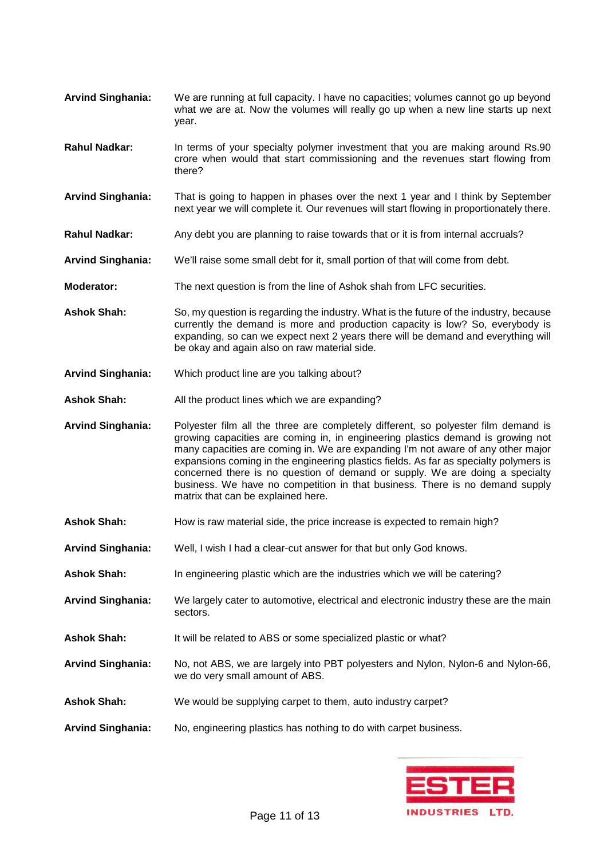- **Arvind Singhania:** We are running at full capacity. I have no capacities; volumes cannot go up beyond what we are at. Now the volumes will really go up when a new line starts up next year.
- **Rahul Nadkar:** In terms of your specialty polymer investment that you are making around Rs.90 crore when would that start commissioning and the revenues start flowing from there?
- **Arvind Singhania:** That is going to happen in phases over the next 1 year and I think by September next year we will complete it. Our revenues will start flowing in proportionately there.
- **Rahul Nadkar:** Any debt you are planning to raise towards that or it is from internal accruals?
- **Arvind Singhania:** We'll raise some small debt for it, small portion of that will come from debt.
- **Moderator:** The next question is from the line of Ashok shah from LFC securities.
- **Ashok Shah:** So, my question is regarding the industry. What is the future of the industry, because currently the demand is more and production capacity is low? So, everybody is expanding, so can we expect next 2 years there will be demand and everything will be okay and again also on raw material side.
- **Arvind Singhania:** Which product line are you talking about?
- Ashok Shah: All the product lines which we are expanding?
- **Arvind Singhania:** Polyester film all the three are completely different, so polyester film demand is growing capacities are coming in, in engineering plastics demand is growing not many capacities are coming in. We are expanding I'm not aware of any other major expansions coming in the engineering plastics fields. As far as specialty polymers is concerned there is no question of demand or supply. We are doing a specialty business. We have no competition in that business. There is no demand supply matrix that can be explained here.
- Ashok Shah: How is raw material side, the price increase is expected to remain high?
- **Arvind Singhania:** Well, I wish I had a clear-cut answer for that but only God knows.
- **Ashok Shah:** In engineering plastic which are the industries which we will be catering?
- **Arvind Singhania:** We largely cater to automotive, electrical and electronic industry these are the main sectors.
- **Ashok Shah:** It will be related to ABS or some specialized plastic or what?
- **Arvind Singhania:** No, not ABS, we are largely into PBT polyesters and Nylon, Nylon-6 and Nylon-66, we do very small amount of ABS.
- **Ashok Shah:** We would be supplying carpet to them, auto industry carpet?
- **Arvind Singhania:** No, engineering plastics has nothing to do with carpet business.

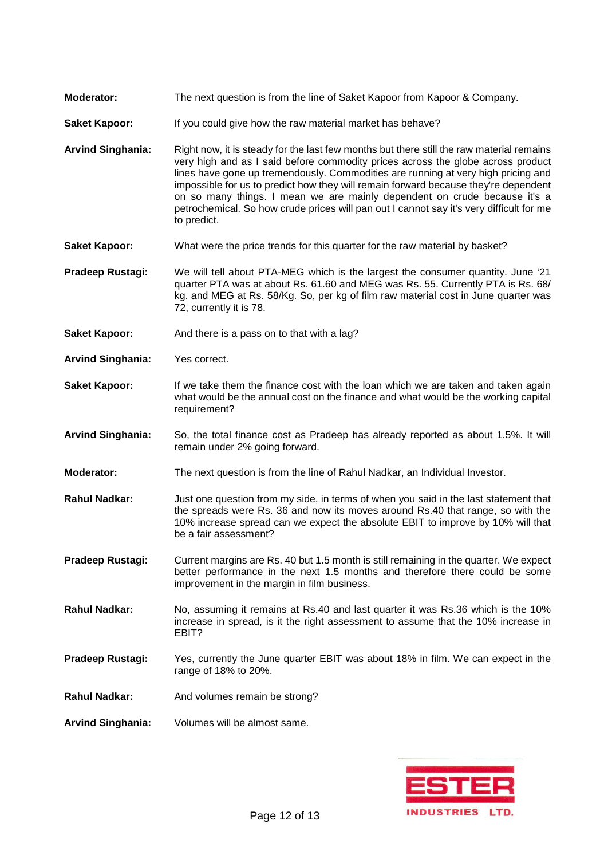- **Moderator:** The next question is from the line of Saket Kapoor from Kapoor & Company.
- **Saket Kapoor:** If you could give how the raw material market has behave?
- **Arvind Singhania:** Right now, it is steady for the last few months but there still the raw material remains very high and as I said before commodity prices across the globe across product lines have gone up tremendously. Commodities are running at very high pricing and impossible for us to predict how they will remain forward because they're dependent on so many things. I mean we are mainly dependent on crude because it's a petrochemical. So how crude prices will pan out I cannot say it's very difficult for me to predict.
- **Saket Kapoor:** What were the price trends for this quarter for the raw material by basket?
- **Pradeep Rustagi:** We will tell about PTA-MEG which is the largest the consumer quantity. June '21 quarter PTA was at about Rs. 61.60 and MEG was Rs. 55. Currently PTA is Rs. 68/ kg. and MEG at Rs. 58/Kg. So, per kg of film raw material cost in June quarter was 72, currently it is 78.
- **Saket Kapoor:** And there is a pass on to that with a lag?
- **Arvind Singhania:** Yes correct.
- **Saket Kapoor:** If we take them the finance cost with the loan which we are taken and taken again what would be the annual cost on the finance and what would be the working capital requirement?
- **Arvind Singhania:** So, the total finance cost as Pradeep has already reported as about 1.5%. It will remain under 2% going forward.
- **Moderator:** The next question is from the line of Rahul Nadkar, an Individual Investor.
- **Rahul Nadkar:** Just one question from my side, in terms of when you said in the last statement that the spreads were Rs. 36 and now its moves around Rs.40 that range, so with the 10% increase spread can we expect the absolute EBIT to improve by 10% will that be a fair assessment?
- **Pradeep Rustagi:** Current margins are Rs. 40 but 1.5 month is still remaining in the quarter. We expect better performance in the next 1.5 months and therefore there could be some improvement in the margin in film business.
- **Rahul Nadkar:** No, assuming it remains at Rs.40 and last quarter it was Rs.36 which is the 10% increase in spread, is it the right assessment to assume that the 10% increase in EBIT?
- **Pradeep Rustagi:** Yes, currently the June quarter EBIT was about 18% in film. We can expect in the range of 18% to 20%.
- **Rahul Nadkar:** And volumes remain be strong?
- **Arvind Singhania:** Volumes will be almost same.